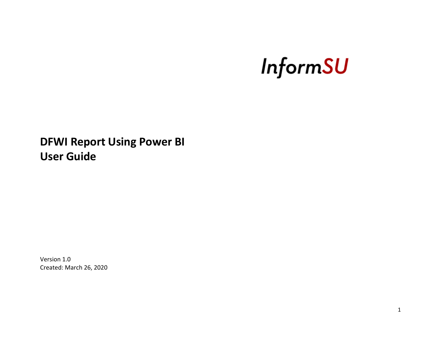# **InformSU**

## **DFWI Report Using Power BI User Guide**

Version 1.0 Created: March 26, 2020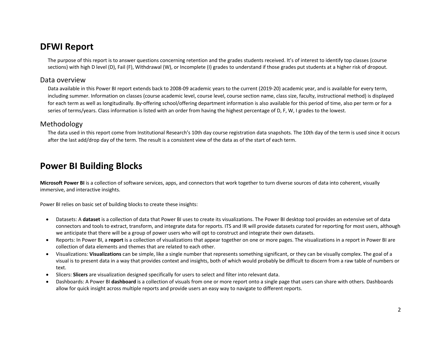## **DFWI Report**

The purpose of this report is to answer questions concerning retention and the grades students received. It's of interest to identify top classes (course sections) with high D level (D), Fail (F), Withdrawal (W), or Incomplete (I) grades to understand if those grades put students at a higher risk of dropout.

#### Data overview

Data available in this Power BI report extends back to 2008-09 academic years to the current (2019-20) academic year, and is available for every term, including summer. Information on classes (course academic level, course level, course section name, class size, faculty, instructional method) is displayed for each term as well as longitudinally. By-offering school/offering department information is also available for this period of time, also per term or for a series of terms/years. Class information is listed with an order from having the highest percentage of D, F, W, I grades to the lowest.

#### Methodology

The data used in this report come from Institutional Research's 10th day course registration data snapshots. The 10th day of the term is used since it occurs after the last add/drop day of the term. The result is a consistent view of the data as of the start of each term.

## **Power BI Building Blocks**

**Microsoft Power BI** is a collection of software services, apps, and connectors that work together to turn diverse sources of data into coherent, visually immersive, and interactive insights.

Power BI relies on basic set of building blocks to create these insights:

- Datasets: A **dataset** is a collection of data that Power BI uses to create its visualizations. The Power BI desktop tool provides an extensive set of data connectors and tools to extract, transform, and integrate data for reports. ITS and IR will provide datasets curated for reporting for most users, although we anticipate that there will be a group of power users who will opt to construct and integrate their own datasets.
- Reports: In Power BI, a **report** is a collection of visualizations that appear together on one or more pages. The visualizations in a report in Power BI are collection of data elements and themes that are related to each other.
- Visualizations: **Visualizations** can be simple, like a single number that represents something significant, or they can be visually complex. The goal of a visual is to present data in a way that provides context and insights, both of which would probably be difficult to discern from a raw table of numbers or text.
- Slicers: **Slicers** are visualization designed specifically for users to select and filter into relevant data.
- Dashboards: A Power BI **dashboard** is a collection of visuals from one or more report onto a single page that users can share with others. Dashboards allow for quick insight across multiple reports and provide users an easy way to navigate to different reports.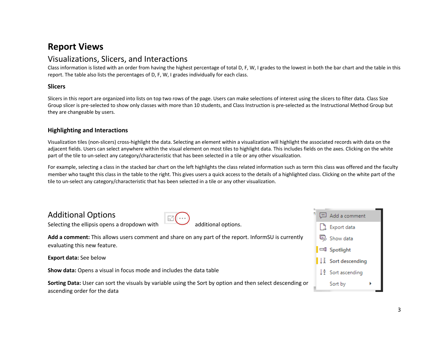## **Report Views**

## Visualizations, Slicers, and Interactions

Class information is listed with an order from having the highest percentage of total D, F, W, I grades to the lowest in both the bar chart and the table in this report. The table also lists the percentages of D, F, W, I grades individually for each class.

#### **Slicers**

Slicers in this report are organized into lists on top two rows of the page. Users can make selections of interest using the slicers to filter data. Class Size Group slicer is pre-selected to show only classes with more than 10 students, and Class Instruction is pre-selected as the Instructional Method Group but they are changeable by users.

#### **Highlighting and Interactions**

Visualization tiles (non-slicers) cross-highlight the data. Selecting an element within a visualization will highlight the associated records with data on the adjacent fields. Users can select anywhere within the visual element on most tiles to highlight data. This includes fields on the axes. Clicking on the white part of the tile to un-select any category/characteristic that has been selected in a tile or any other visualization.

For example, selecting a class in the stacked bar chart on the left highlights the class related information such as term this class was offered and the faculty member who taught this class in the table to the right. This gives users a quick access to the details of a highlighted class. Clicking on the white part of the tile to un-select any category/characteristic that has been selected in a tile or any other visualization.

## Additional Options

Selecting the ellipsis opens a dropdown with  $\sim$  additional options.

Add a comment Export data 吗 Show data □ Spotlight  $\frac{1}{4}$  Sort descending  $\downarrow$   $\frac{A}{2}$  Sort ascending Sort by

**Add a comment:** This allows users comment and share on any part of the report. InformSU is currently evaluating this new feature.

**Export data:** See below

**Show data:** Opens a visual in focus mode and includes the data table

**Sorting Data:** User can sort the visuals by variable using the Sort by option and then select descending or ascending order for the data

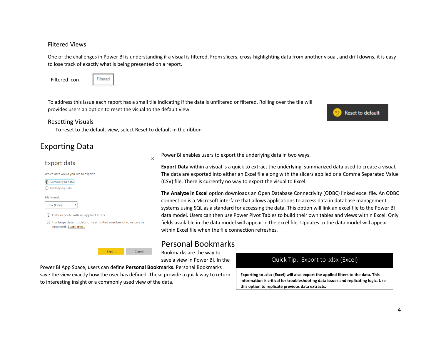#### Filtered Views

One of the challenges in Power BI is understanding if a visual is filtered. From slicers, cross-highlighting data from another visual, and drill downs, it is easy to lose track of exactly what is being presented on a report.

Filtered icon



To address this issue each report has a small tile indicating if the data is unfiltered or filtered. Rolling over the tile will provides users an option to reset the visual to the default view.

#### Resetting Visuals

To reset to the default view, select Reset to default in the ribbon

 $\times$ 

## Exporting Data

#### Export data

| Which data would you like to export?                                        |
|-----------------------------------------------------------------------------|
| Summarized data                                                             |
| Underlying data                                                             |
| File format:                                                                |
| .xlsx (Excel)                                                               |
| Data exports with all applied filters.<br>(i)                               |
| (i) For large data models, only a limited number of<br>exported. Learn more |
|                                                                             |
|                                                                             |

Power BI enables users to export the underlying data in two ways.

**Export Data** within a visual is a quick to extract the underlying, summarized data used to create a visual. The data are exported into either an Excel file along with the slicers applied or a Comma Separated Value (CSV) file. There is currently no way to export the visual to Excel.

The **Analyze in Excel** option downloads an Open Database Connectivity (ODBC) linked excel file. An ODBC connection is a Microsoft interface that allows applications to access data in database management systems using SQL as a standard for accessing the data. This option will link an excel file to the Power BI data model. Users can then use Power Pivot Tables to build their own tables and views within Excel. Only fields available in the data model will appear in the excel file. Updates to the data model will appear within Excel file when the file connection refreshes.

## Personal Bookmarks

Bookmarks are the way to save a view in Power BI. In the

Power BI App Space, users can define **Personal Bookmarks**. Personal Bookmarks save the view exactly how the user has defined. These provide a quick way to return to interesting insight or a commonly used view of the data.

Cancel

Export

rows can be

#### Quick Tip: Export to .xlsx (Excel)

**Exporting to .xlsx (Excel) will also export the applied filters to the data. This information is critical for troubleshooting data issues and replicating logic. Use this option to replicate previous data extracts.**

Reset to default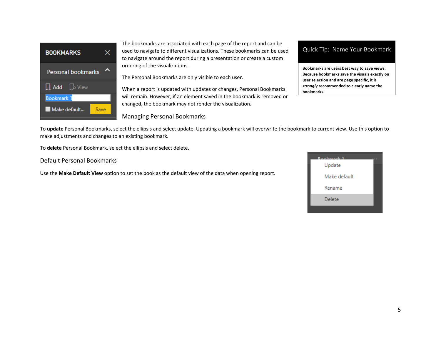

The bookmarks are associated with each page of the report and can be used to navigate to different visualizations. These bookmarks can be used to navigate around the report during a presentation or create a custom ordering of the visualizations.

The Personal Bookmarks are only visible to each user.

When a report is updated with updates or changes, Personal Bookmarks will remain. However, if an element saved in the bookmark is removed or changed, the bookmark may not render the visualization.

#### Managing Personal Bookmarks

#### Quick Tip: Name Your Bookmark

**Bookmarks are users best way to save views. Because bookmarks save the visuals exactly on user selection and are page specific, it is**  *strongly* **recommended to clearly name the bookmarks.**

To **update** Personal Bookmarks, select the ellipsis and select update. Updating a bookmark will overwrite the bookmark to current view. Use this option to make adjustments and changes to an existing bookmark.

To **delete** Personal Bookmark, select the ellipsis and select delete.

Default Personal Bookmarks

Use the **Make Default View** option to set the book as the default view of the data when opening report.

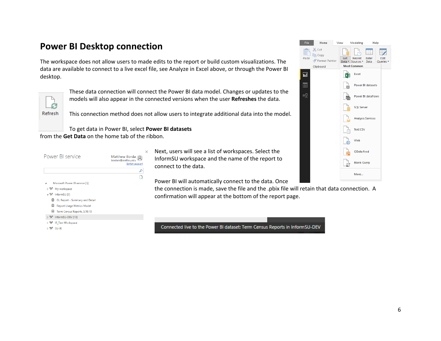## **Power BI Desktop connection**

The workspace does not allow users to made edits to the report or build custom visualizations. The data are available to connect to a live excel file, see Analyze in Excel above, or through the Power BI desktop.



These data connection will connect the Power BI data model. Changes or updates to the models will also appear in the connected versions when the user **Refreshes** the data.

This connection method does not allow users to integrate additional data into the model.

To get data in Power BI, select **Power BI datasets**

from the **Get Data** on the home tab of the ribbon.

| Power BI service                                | Matthew Borda<br>bordam@seattleu.edu<br>Switch account |
|-------------------------------------------------|--------------------------------------------------------|
|                                                 | م                                                      |
|                                                 | B.                                                     |
| Microsoft Power BI service [5]                  |                                                        |
| A <sup>R</sup> My workspace                     |                                                        |
| ⊿ <sup>A</sup> R <sup>4</sup> InformSU [3]      |                                                        |
| 目 GL Report - Summary and Detail                |                                                        |
| Ħ<br><b>Report Usage Metrics Model</b>          |                                                        |
| 目 Term Census Reports_5.10.19                   |                                                        |
| ▷ <sup>A</sup> x <sup>4</sup> InformSU-DEV [13] |                                                        |
| ▷ ਸੈਨੀ IR_Test Workspace                        |                                                        |
| ⊳ <sup>a</sup> x° SU-lR                         |                                                        |

 $\times$  Next, users will see a list of workspaces. Select the InformSU workspace and the name of the report to connect to the data.

Power BI will automatically connect to the data. Once

the connection is made, save the file and the .pbix file will retain that data connection. A confirmation will appear at the bottom of the report page.

Connected live to the Power BI dataset: Term Census Reports in InformSU-DEV

| <b>File</b>             | Home                                             | View     | Modeling Help                                         |                          |                   |
|-------------------------|--------------------------------------------------|----------|-------------------------------------------------------|--------------------------|-------------------|
| <b>State</b><br>Paste   | X Cut<br>lim Copy<br>Format Painter<br>Clipboard | D<br>Get | Recent<br>Data v Sources v Data<br><b>Most Common</b> | Enter                    | Edit<br>Queries * |
| $\overline{\mathbf{H}}$ |                                                  | x∄       | Excel                                                 |                          |                   |
| m                       |                                                  |          |                                                       | <b>Power BI datasets</b> |                   |
|                         |                                                  |          |                                                       | Power BI dataflows       |                   |
|                         |                                                  |          | <b>SQL Server</b>                                     |                          |                   |
|                         |                                                  |          |                                                       | <b>Analysis Services</b> |                   |
|                         |                                                  |          | Text/CSV                                              |                          |                   |
|                         |                                                  |          | Web                                                   |                          |                   |
|                         |                                                  |          | OData feed                                            |                          |                   |
|                         |                                                  |          | <b>Blank Query</b>                                    |                          |                   |
|                         |                                                  |          | More                                                  |                          |                   |
|                         |                                                  |          |                                                       |                          |                   |